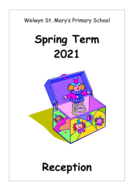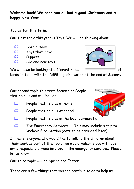**Welcome back! We hope you all had a good Christmas and a happy New Year.**

## **Topics for this term.**

Our first topic this year is Toys. We will be thinking about:

- Special toys
- **EQUALER** Toys that move
- **Puppets**
- Old and new toys



We will also be looking at different kinds of

birds to tie in with the RSPB big bird watch at the end of January.

Our second topic this term focuses on People that help us and will include:

- $\Box$  People that help us at home.
- People that help us at school.
- **People that help us in the local community.**
- The Emergency Services. **~** This **may** include a trip to Welwyn Fire Station (date to be arranged later).

If there is anyone who would like to talk to the children about their work as part of this topic, we would welcome you with open arms, especially anyone involved in the emergency services. Please let us know.

Our third topic will be Spring and Easter.

There are a few things that you can continue to do to help us:

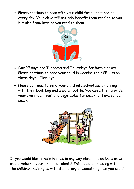Please continue to read with your child for a short period every day. Your child will not only benefit from reading to you but also from hearing you read to them.



- Our PE days are Tuesdays and Thursdays for both classes. Please continue to send your child in wearing their PE kits on these days. Thank you.
- Please continue to send your child into school each morning with their book bag and a water bottle. You can either provide your own fresh fruit and vegetables for snack, or have school snack.



If you would like to help in class in any way please let us know as we would welcome your time and talents! This could be reading with the children, helping us with the library or something else you could